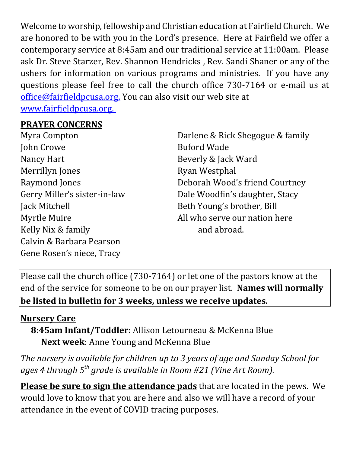Welcome to worship, fellowship and Christian education at Fairfield Church. We are honored to be with you in the Lord's presence. Here at Fairfield we offer a contemporary service at 8:45am and our traditional service at 11:00am. Please ask Dr. Steve Starzer, Rev. Shannon Hendricks , Rev. Sandi Shaner or any of the ushers for information on various programs and ministries. If you have any questions please feel free to call the church office 730-7164 or e-mail us at office@fairfieldpcusa.org. You can also visit our web site at www.fairfieldpcusa.org.

## **PRAYER CONCERNS**

Myra Compton John Crowe Nancy Hart Merrillyn Jones Raymond Jones Gerry Miller's sister-in-law Jack Mitchell Myrtle Muire Kelly Nix & family Calvin & Barbara Pearson Gene Rosen's niece, Tracy

Darlene & Rick Shegogue & family Buford Wade Beverly & Jack Ward Ryan Westphal Deborah Wood's friend Courtney Dale Woodfin's daughter, Stacy Beth Young's brother, Bill All who serve our nation here and abroad.

Please call the church office (730-7164) or let one of the pastors know at the end of the service for someone to be on our prayer list. **Names will normally be listed in bulletin for 3 weeks, unless we receive updates.**

## **Nursery Care**

**8:45am Infant/Toddler:** Allison Letourneau & McKenna Blue **Next week**: Anne Young and McKenna Blue

*The nursery is available for children up to 3 years of age and Sunday School for ages 4 through 5th grade is available in Room #21 (Vine Art Room).*

**Please be sure to sign the attendance pads** that are located in the pews. We would love to know that you are here and also we will have a record of your attendance in the event of COVID tracing purposes.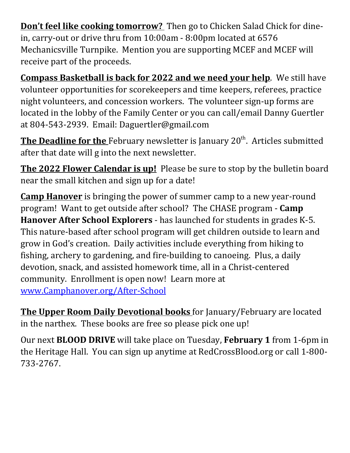**Don't feel like cooking tomorrow?** Then go to Chicken Salad Chick for dinein, carry-out or drive thru from 10:00am - 8:00pm located at 6576 Mechanicsville Turnpike. Mention you are supporting MCEF and MCEF will receive part of the proceeds.

**Compass Basketball is back for 2022 and we need your help**. We still have volunteer opportunities for scorekeepers and time keepers, referees, practice night volunteers, and concession workers. The volunteer sign-up forms are located in the lobby of the Family Center or you can call/email Danny Guertler at 804-543-2939. Email: Daguertler@gmail.com

**The Deadline for the** February newsletter is January 20<sup>th</sup>. Articles submitted after that date will g into the next newsletter.

**The 2022 Flower Calendar is up!** Please be sure to stop by the bulletin board near the small kitchen and sign up for a date!

**Camp Hanover** is bringing the power of summer camp to a new year-round program! Want to get outside after school? The CHASE program - **Camp Hanover After School Explorers** - has launched for students in grades K-5. This nature-based after school program will get children outside to learn and grow in God's creation. Daily activities include everything from hiking to fishing, archery to gardening, and fire-building to canoeing. Plus, a daily devotion, snack, and assisted homework time, all in a Christ-centered community. Enrollment is open now! Learn more at www.Camphanover.org/After-School

**The Upper Room Daily Devotional books** for January/February are located in the narthex. These books are free so please pick one up!

Our next **BLOOD DRIVE** will take place on Tuesday, **February 1** from 1-6pm in the Heritage Hall. You can sign up anytime at RedCrossBlood.org or call 1-800- 733-2767.